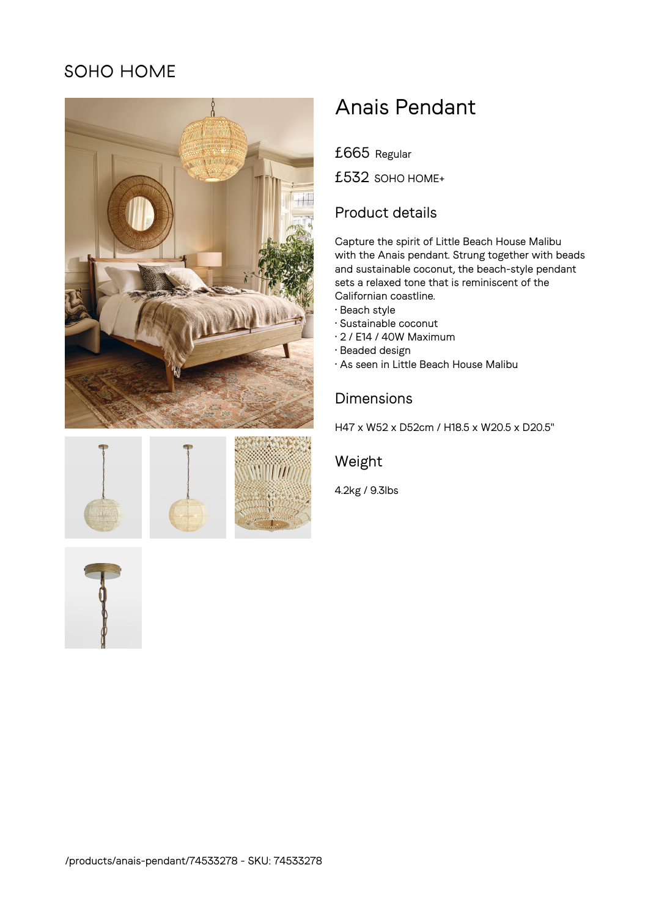# SOHO HOME









# Anais Pendant

£665 Regular

£532 SOHO HOME+

## Product details

Capture the spirit of Little Beach House Malibu with the Anais pendant. Strung together with beads and sustainable coconut, the beach-style pendant sets a relaxed tone that is reminiscent of the Californian coastline.

- Beach style
- Sustainable coconut
- 2 / E14 / 40W Maximum
- Beaded design
- As seen in Little Beach House Malibu

#### Dimensions

H47 x W52 x D52cm / H18.5 x W20.5 x D20.5"

### Weight

4.2kg / 9.3lbs